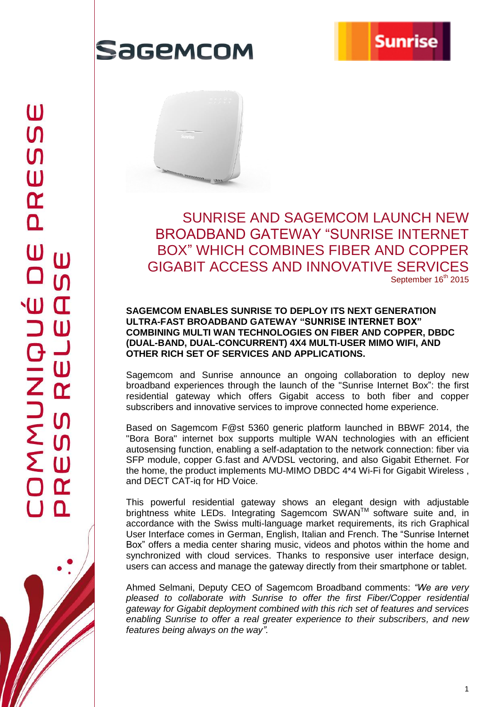

## Sagemcom



SUNRISE AND SAGEMCOM LAUNCH NEW BROADBAND GATEWAY "SUNRISE INTERNET BOX" WHICH COMBINES FIBER AND COPPER GIGABIT ACCESS AND INNOVATIVE SERVICES September 16<sup>th</sup> 2015

### **SAGEMCOM ENABLES SUNRISE TO DEPLOY ITS NEXT GENERATION ULTRA-FAST BROADBAND GATEWAY "SUNRISE INTERNET BOX" COMBINING MULTI WAN TECHNOLOGIES ON FIBER AND COPPER, DBDC (DUAL-BAND, DUAL-CONCURRENT) 4X4 MULTI-USER MIMO WIFI, AND OTHER RICH SET OF SERVICES AND APPLICATIONS.**

Sagemcom and Sunrise announce an ongoing collaboration to deploy new broadband experiences through the launch of the "Sunrise Internet Box": the first residential gateway which offers Gigabit access to both fiber and copper subscribers and innovative services to improve connected home experience.

Based on Sagemcom F@st 5360 generic platform launched in BBWF 2014, the "Bora Bora" internet box supports multiple WAN technologies with an efficient autosensing function, enabling a self-adaptation to the network connection: fiber via SFP module, copper G.fast and A/VDSL vectoring, and also Gigabit Ethernet. For the home, the product implements MU-MIMO DBDC 4\*4 Wi-Fi for Gigabit Wireless , and DECT CAT-iq for HD Voice.

This powerful residential gateway shows an elegant design with adjustable brightness white LEDs. Integrating Sagemcom SWAN™ software suite and, in accordance with the Swiss multi-language market requirements, its rich Graphical User Interface comes in German, English, Italian and French. The "Sunrise Internet Box" offers a media center sharing music, videos and photos within the home and synchronized with cloud services. Thanks to responsive user interface design, users can access and manage the gateway directly from their smartphone or tablet.

Ahmed Selmani, Deputy CEO of Sagemcom Broadband comments: *"We are very pleased to collaborate with Sunrise to offer the first Fiber/Copper residential gateway for Gigabit deployment combined with this rich set of features and services enabling Sunrise to offer a real greater experience to their subscribers, and new features being always on the way".*